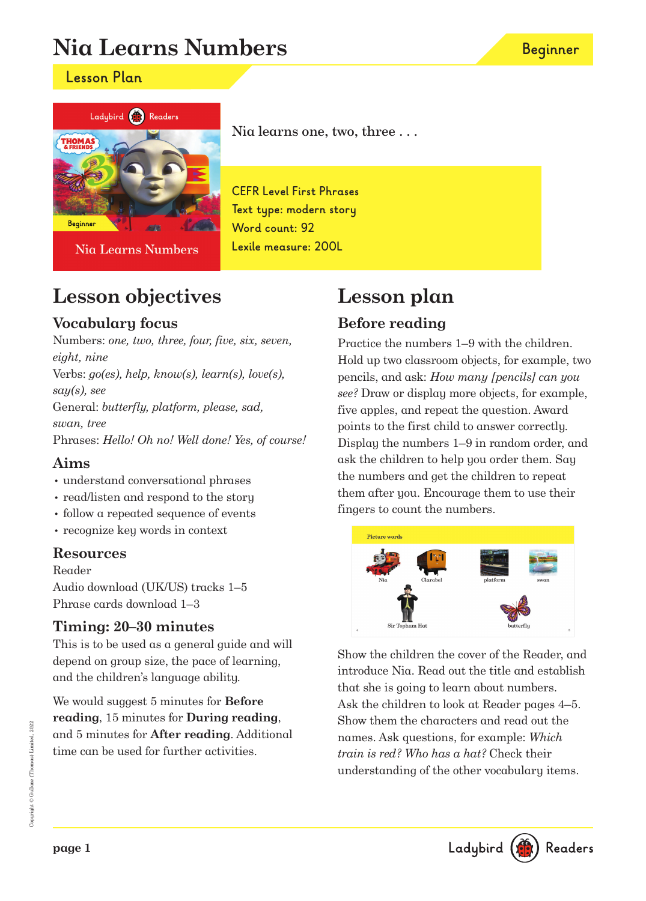# **Nia Learns Numbers**

### **Lesson Plan**



Nia Learns Numbers

Nia learns one, two, three . . .

**CEFR Level First Phrases Text type: modern story Word count: 92 Lexile measure: 200L**

## **Lesson objectives**

### **Vocabulary focus**

Numbers: one, two, three, four, five, six, seven, eight, nine Verbs: go(es), help, know(s), learn(s), love(s), say(s), see General: butterfly, platform, please, sad, swan, tree Phrases: Hello! Oh no! Well done! Yes, of course!

### **Aims**

- understand conversational phrases
- read/listen and respond to the story
- follow a repeated sequence of events
- recognize key words in context

### **Resources**

Reader

Audio download (UK/US) tracks 1–5 Phrase cards download 1–3

### **Timing: 20–30 minutes**

This is to be used as a general guide and will depend on group size, the pace of learning, and the children's language ability.

We would suggest 5 minutes for **Before reading**, 15 minutes for **During reading**, and 5 minutes for **After reading**. Additional time can be used for further activities.

## **Lesson plan Before reading**

Practice the numbers 1–9 with the children. Hold up two classroom objects, for example, two pencils, and ask: How many [pencils] can you see? Draw or display more objects, for example, five apples, and repeat the question. Award points to the first child to answer correctly. Display the numbers 1–9 in random order, and ask the children to help you order them. Say the numbers and get the children to repeat them after you. Encourage them to use their fingers to count the numbers.



Show the children the cover of the Reader, and introduce Nia. Read out the title and establish that she is going to learn about numbers. Ask the children to look at Reader pages 4–5. Show them the characters and read out the names. Ask questions, for example: Which train is red? Who has a hat? Check their understanding of the other vocabulary items.

Ladybird (

Readers

**page 1**